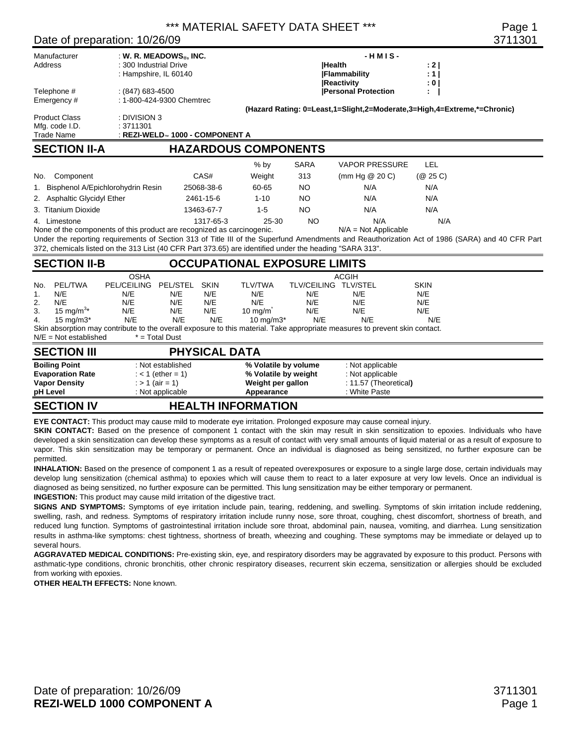\*\*\* MATERIAL SAFETY DATA SHEET \*\*\* Page 1

#### Date of preparation: 10/26/09 3711301

| Date of preparation. To/20/09                                                                                                   |                                                |                                                                                   |                                         |                                                                                 |                                                  |                                                                                                                                                         |                                         | <u>ו טטווע</u>                                                                                                                                  |
|---------------------------------------------------------------------------------------------------------------------------------|------------------------------------------------|-----------------------------------------------------------------------------------|-----------------------------------------|---------------------------------------------------------------------------------|--------------------------------------------------|---------------------------------------------------------------------------------------------------------------------------------------------------------|-----------------------------------------|-------------------------------------------------------------------------------------------------------------------------------------------------|
| Manufacturer<br>: W. R. MEADOWS <sup>®</sup> , INC.<br>: 300 Industrial Drive<br>Address<br>: Hampshire, IL 60140               |                                                |                                                                                   |                                         |                                                                                 |                                                  | $-HMIS -$<br><b>Health</b><br><b>Flammability</b>                                                                                                       | : 2 <sub>1</sub><br>: 1                 |                                                                                                                                                 |
| Telephone #<br>Emergency#                                                                                                       | $(847)$ 683-4500<br>: 1-800-424-9300 Chemtrec  |                                                                                   |                                         |                                                                                 |                                                  | <b>Reactivity</b><br><b>Personal Protection</b>                                                                                                         | : 0 <sub>1</sub>                        |                                                                                                                                                 |
| : DIVISION 3<br><b>Product Class</b><br>Mfg. code I.D.<br>: 3711301<br><b>Trade Name</b><br>: REZI-WELD™ 1000 - COMPONENT A     |                                                |                                                                                   |                                         |                                                                                 |                                                  | (Hazard Rating: 0=Least,1=Slight,2=Moderate,3=High,4=Extreme,*=Chronic)                                                                                 |                                         |                                                                                                                                                 |
| <b>SECTION II-A</b>                                                                                                             |                                                |                                                                                   |                                         | <b>HAZARDOUS COMPONENTS</b>                                                     |                                                  |                                                                                                                                                         |                                         |                                                                                                                                                 |
|                                                                                                                                 |                                                |                                                                                   |                                         | $%$ by                                                                          | <b>SARA</b>                                      | <b>VAPOR PRESSURE</b>                                                                                                                                   | LEL                                     |                                                                                                                                                 |
| Component<br>No.                                                                                                                |                                                |                                                                                   | CAS#                                    | Weight                                                                          | 313                                              | (mm Hg $@$ 20 C)                                                                                                                                        | (Q25C)                                  |                                                                                                                                                 |
| 1. Bisphenol A/Epichlorohydrin Resin                                                                                            |                                                |                                                                                   | 25068-38-6                              | 60-65                                                                           | <b>NO</b>                                        | N/A                                                                                                                                                     | N/A                                     |                                                                                                                                                 |
| 2. Asphaltic Glycidyl Ether                                                                                                     |                                                |                                                                                   | 2461-15-6                               | $1 - 10$                                                                        | <b>NO</b>                                        | N/A                                                                                                                                                     | N/A                                     |                                                                                                                                                 |
| 3. Titanium Dioxide                                                                                                             |                                                |                                                                                   | 13463-67-7                              | $1 - 5$                                                                         | <b>NO</b>                                        | N/A                                                                                                                                                     | N/A                                     |                                                                                                                                                 |
| 4. Limestone<br>None of the components of this product are recognized as carcinogenic.                                          |                                                |                                                                                   | 1317-65-3                               | 25-30                                                                           | <b>NO</b>                                        | N/A<br>$N/A = Not Applicable$                                                                                                                           | N/A                                     | Under the reporting requirements of Section 313 of Title III of the Superfund Amendments and Reauthorization Act of 1986 (SARA) and 40 CFR Part |
| 372, chemicals listed on the 313 List (40 CFR Part 373.65) are identified under the heading "SARA 313".<br><b>SECTION II-B</b>  |                                                |                                                                                   |                                         | <b>OCCUPATIONAL EXPOSURE LIMITS</b>                                             |                                                  |                                                                                                                                                         |                                         |                                                                                                                                                 |
|                                                                                                                                 | <b>OSHA</b>                                    |                                                                                   |                                         |                                                                                 |                                                  | <b>ACGIH</b>                                                                                                                                            |                                         |                                                                                                                                                 |
| <b>PEL/TWA</b><br>No.<br>N/E<br>1.<br>N/E<br>2.<br>15 mg/m <sup>3*</sup><br>3.<br>15 mg/m $3*$<br>4.<br>$N/E = Not established$ | <b>PEL/CEILING</b><br>N/E<br>N/E<br>N/E<br>N/E | PEL/STEL<br>N/E<br>N/E<br>N/E<br>N/E<br>$* = Total$ Dust                          | <b>SKIN</b><br>N/E<br>N/E<br>N/E<br>N/E | <b>TLV/TWA</b><br>N/E<br>N/E<br>$10 \text{ mg/m}$<br>$10 \text{ mg/m}3*$        | TLV/CEILING TLV/STEL<br>N/E<br>N/E<br>N/E<br>N/E | N/E<br>N/E<br>N/E<br>N/E<br>Skin absorption may contribute to the overall exposure to this material. Take appropriate measures to prevent skin contact. | <b>SKIN</b><br>N/E<br>N/E<br>N/E<br>N/E |                                                                                                                                                 |
| <b>PHYSICAL DATA</b><br><b>SECTION III</b>                                                                                      |                                                |                                                                                   |                                         |                                                                                 |                                                  |                                                                                                                                                         |                                         |                                                                                                                                                 |
| <b>Boiling Point</b><br><b>Evaporation Rate</b><br><b>Vapor Density</b><br>pH Level                                             |                                                | : Not established<br>$:$ < 1 (ether = 1)<br>: $> 1$ (air = 1)<br>: Not applicable |                                         | % Volatile by volume<br>% Volatile by weight<br>Weight per gallon<br>Appearance |                                                  | : Not applicable<br>: Not applicable<br>: 11.57 (Theoretical)<br>: White Paste                                                                          |                                         |                                                                                                                                                 |
| <b>SECTION IV</b>                                                                                                               |                                                |                                                                                   |                                         | <b>HEALTH INFORMATION</b>                                                       |                                                  |                                                                                                                                                         |                                         |                                                                                                                                                 |

**EYE CONTACT:** This product may cause mild to moderate eye irritation. Prolonged exposure may cause corneal injury.

**SKIN CONTACT:** Based on the presence of component 1 contact with the skin may result in skin sensitization to epoxies. Individuals who have developed a skin sensitization can develop these symptoms as a result of contact with very small amounts of liquid material or as a result of exposure to vapor. This skin sensitization may be temporary or permanent. Once an individual is diagnosed as being sensitized, no further exposure can be permitted.

**INHALATION:** Based on the presence of component 1 as a result of repeated overexposures or exposure to a single large dose, certain individuals may develop lung sensitization (chemical asthma) to epoxies which will cause them to react to a later exposure at very low levels. Once an individual is diagnosed as being sensitized, no further exposure can be permitted. This lung sensitization may be either temporary or permanent.

**INGESTION:** This product may cause mild irritation of the digestive tract.

**SIGNS AND SYMPTOMS:** Symptoms of eye irritation include pain, tearing, reddening, and swelling. Symptoms of skin irritation include reddening, swelling, rash, and redness. Symptoms of respiratory irritation include runny nose, sore throat, coughing, chest discomfort, shortness of breath, and reduced lung function. Symptoms of gastrointestinal irritation include sore throat, abdominal pain, nausea, vomiting, and diarrhea. Lung sensitization results in asthma-like symptoms: chest tightness, shortness of breath, wheezing and coughing. These symptoms may be immediate or delayed up to several hours.

**AGGRAVATED MEDICAL CONDITIONS:** Pre-existing skin, eye, and respiratory disorders may be aggravated by exposure to this product. Persons with asthmatic-type conditions, chronic bronchitis, other chronic respiratory diseases, recurrent skin eczema, sensitization or allergies should be excluded from working with epoxies.

**OTHER HEALTH EFFECTS: None known.**